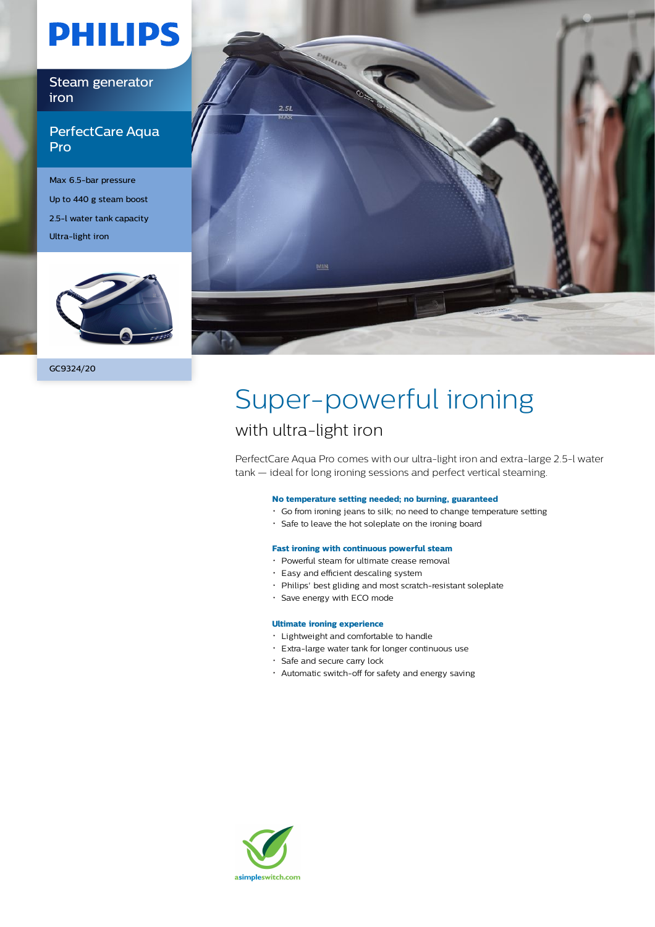# **PHILIPS**

Steam generator iron

### PerfectCare Aqua Pro

Max 6.5-bar pressure Up to 440 g steam boost 2.5-l water tank capacity Ultra-light iron





# Super-powerful ironing

## with ultra-light iron

PerfectCare Aqua Pro comes with our ultra-light iron and extra-large 2.5-l water tank — ideal for long ironing sessions and perfect vertical steaming.

### **No temperature setting needed; no burning, guaranteed**

- Go from ironing jeans to silk; no need to change temperature setting
- Safe to leave the hot soleplate on the ironing board

### **Fast ironing with continuous powerful steam**

- Powerful steam for ultimate crease removal
- Easy and efficient descaling system
- Philips' best gliding and most scratch-resistant soleplate
- Save energy with ECO mode

#### **Ultimate ironing experience**

- Lightweight and comfortable to handle
- Extra-large water tank for longer continuous use
- Safe and secure carry lock
- Automatic switch-off for safety and energy saving

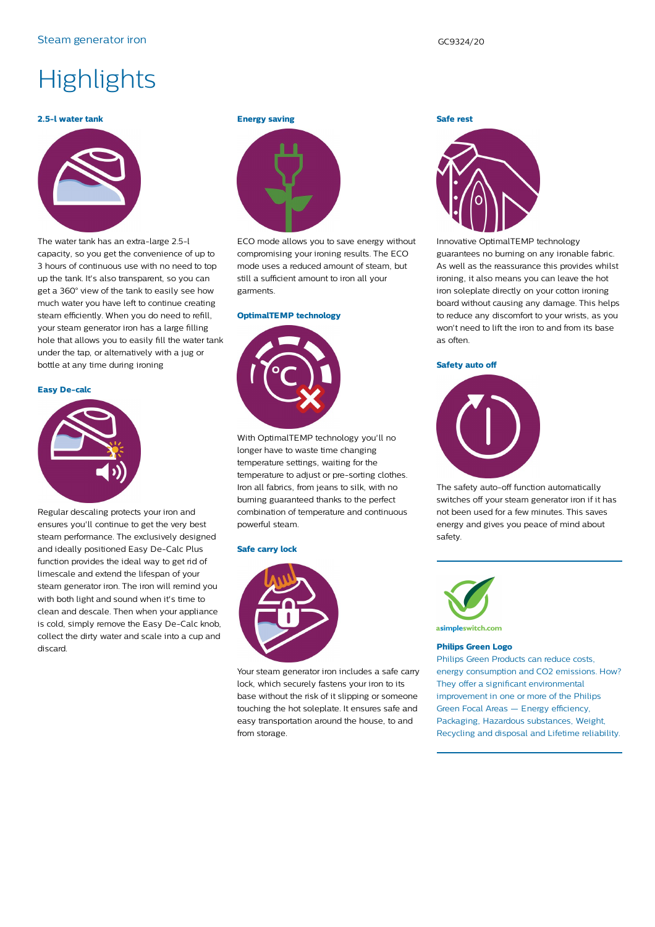### Steam generator iron GC9324/20

# **Highlights**

#### **2.5-l water tank**



The water tank has an extra-large 2.5-l capacity, so you get the convenience of up to 3 hours of continuous use with no need to top up the tank. It's also transparent, so you can get a 360° view of the tank to easily see how much water you have left to continue creating steam efficiently. When you do need to refill, your steam generator iron has a large filling hole that allows you to easily fill the water tank under the tap, or alternatively with a jug or bottle at any time during ironing

#### **Easy De-calc**



Regular descaling protects your iron and ensures you'll continue to get the very best steam performance. The exclusively designed and ideally positioned Easy De-Calc Plus function provides the ideal way to get rid of limescale and extend the lifespan of your steam generator iron. The iron will remind you with both light and sound when it's time to clean and descale. Then when your appliance is cold, simply remove the Easy De-Calc knob, collect the dirty water and scale into a cup and discard.

#### **Energy saving**



ECO mode allows you to save energy without compromising your ironing results. The ECO mode uses a reduced amount of steam, but still a sufficient amount to iron all your garments.

#### **OptimalTEMP technology**



With OptimalTEMP technology you'll no longer have to waste time changing temperature settings, waiting for the temperature to adjust or pre-sorting clothes. Iron all fabrics, from jeans to silk, with no burning guaranteed thanks to the perfect combination of temperature and continuous powerful steam.

#### **Safe carry lock**



Your steam generator iron includes a safe carry lock, which securely fastens your iron to its base without the risk of it slipping or someone touching the hot soleplate. It ensures safe and easy transportation around the house, to and from storage.



Innovative OptimalTEMP technology guarantees no burning on any ironable fabric. As well as the reassurance this provides whilst ironing, it also means you can leave the hot iron soleplate directly on your cotton ironing board without causing any damage. This helps to reduce any discomfort to your wrists, as you won't need to lift the iron to and from its base as often.

#### **Safety auto off**



The safety auto-off function automatically switches off your steam generator iron if it has not been used for a few minutes. This saves energy and gives you peace of mind about safety.



#### **Philips Green Logo**

Philips Green Products can reduce costs, energy consumption and CO2 emissions. How? They offer a significant environmental improvement in one or more of the Philips Green Focal Areas — Energy efficiency, Packaging, Hazardous substances, Weight, Recycling and disposal and Lifetime reliability.